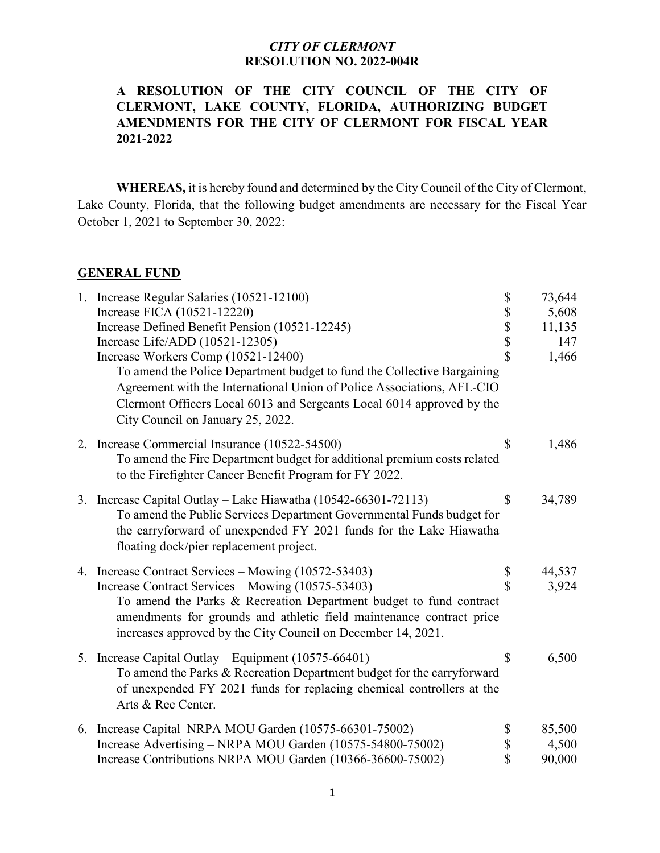## **A RESOLUTION OF THE CITY COUNCIL OF THE CITY OF CLERMONT, LAKE COUNTY, FLORIDA, AUTHORIZING BUDGET AMENDMENTS FOR THE CITY OF CLERMONT FOR FISCAL YEAR 2021-2022**

**WHEREAS,** it is hereby found and determined by the City Council of the City of Clermont, Lake County, Florida, that the following budget amendments are necessary for the Fiscal Year October 1, 2021 to September 30, 2022:

#### **GENERAL FUND**

| 1. Increase Regular Salaries (10521-12100)                               | \$                                                                    | 73,644 |
|--------------------------------------------------------------------------|-----------------------------------------------------------------------|--------|
| Increase FICA (10521-12220)                                              |                                                                       | 5,608  |
| Increase Defined Benefit Pension (10521-12245)                           | $\begin{array}{c} \mathbb{S} \\ \mathbb{S} \\ \mathbb{S} \end{array}$ | 11,135 |
| Increase Life/ADD (10521-12305)                                          |                                                                       | 147    |
| Increase Workers Comp (10521-12400)                                      | $\hat{\mathbf{S}}$                                                    | 1,466  |
| To amend the Police Department budget to fund the Collective Bargaining  |                                                                       |        |
| Agreement with the International Union of Police Associations, AFL-CIO   |                                                                       |        |
| Clermont Officers Local 6013 and Sergeants Local 6014 approved by the    |                                                                       |        |
| City Council on January 25, 2022.                                        |                                                                       |        |
| 2. Increase Commercial Insurance (10522-54500)                           | \$                                                                    | 1,486  |
| To amend the Fire Department budget for additional premium costs related |                                                                       |        |
| to the Firefighter Cancer Benefit Program for FY 2022.                   |                                                                       |        |
| 3. Increase Capital Outlay - Lake Hiawatha (10542-66301-72113)           | \$                                                                    | 34,789 |
| To amend the Public Services Department Governmental Funds budget for    |                                                                       |        |
| the carryforward of unexpended FY 2021 funds for the Lake Hiawatha       |                                                                       |        |
| floating dock/pier replacement project.                                  |                                                                       |        |
| 4. Increase Contract Services – Mowing (10572-53403)                     | \$                                                                    | 44,537 |
| Increase Contract Services - Mowing (10575-53403)                        | \$                                                                    | 3,924  |
| To amend the Parks & Recreation Department budget to fund contract       |                                                                       |        |
| amendments for grounds and athletic field maintenance contract price     |                                                                       |        |
| increases approved by the City Council on December 14, 2021.             |                                                                       |        |
| 5. Increase Capital Outlay – Equipment (10575-66401)                     | \$                                                                    | 6,500  |
| To amend the Parks & Recreation Department budget for the carryforward   |                                                                       |        |
| of unexpended FY 2021 funds for replacing chemical controllers at the    |                                                                       |        |
| Arts & Rec Center.                                                       |                                                                       |        |
| 6. Increase Capital-NRPA MOU Garden (10575-66301-75002)                  | \$                                                                    | 85,500 |
| Increase Advertising - NRPA MOU Garden (10575-54800-75002)               | \$                                                                    | 4,500  |
| Increase Contributions NRPA MOU Garden (10366-36600-75002)               | \$                                                                    | 90,000 |
|                                                                          |                                                                       |        |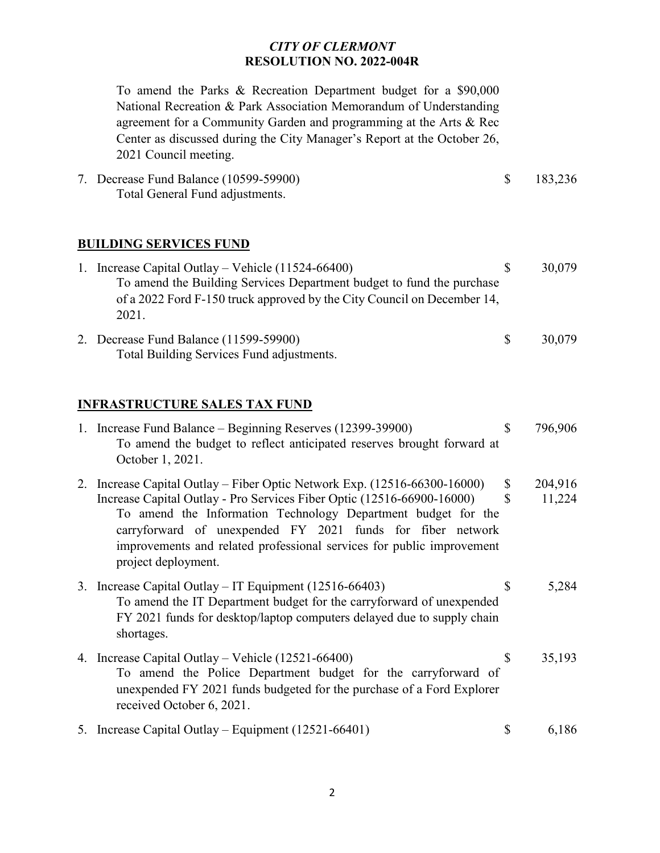To amend the Parks & Recreation Department budget for a \$90,000 National Recreation & Park Association Memorandum of Understanding agreement for a Community Garden and programming at the Arts & Rec Center as discussed during the City Manager's Report at the October 26, 2021 Council meeting.

7. Decrease Fund Balance (10599-59900) \$ 183,236 Total General Fund adjustments.

### **BUILDING SERVICES FUND**

| 1. Increase Capital Outlay – Vehicle $(11524-66400)$                                |    | 30,079 |
|-------------------------------------------------------------------------------------|----|--------|
| To amend the Building Services Department budget to fund the purchase               |    |        |
| of a 2022 Ford F-150 truck approved by the City Council on December 14,<br>2021.    |    |        |
| 2. Decrease Fund Balance (11599-59900)<br>Total Building Services Fund adjustments. | -S | 30,079 |

### **INFRASTRUCTURE SALES TAX FUND**

| 1. Increase Fund Balance – Beginning Reserves (12399-39900)<br>To amend the budget to reflect anticipated reserves brought forward at<br>October 1, 2021.                                                                                                                                                                                                                          | \$       | 796,906           |
|------------------------------------------------------------------------------------------------------------------------------------------------------------------------------------------------------------------------------------------------------------------------------------------------------------------------------------------------------------------------------------|----------|-------------------|
| 2. Increase Capital Outlay – Fiber Optic Network Exp. (12516-66300-16000)<br>Increase Capital Outlay - Pro Services Fiber Optic (12516-66900-16000)<br>To amend the Information Technology Department budget for the<br>carryforward of unexpended FY 2021 funds for fiber network<br>improvements and related professional services for public improvement<br>project deployment. | \$<br>\$ | 204,916<br>11,224 |
| 3. Increase Capital Outlay – IT Equipment (12516-66403)<br>To amend the IT Department budget for the carryforward of unexpended<br>FY 2021 funds for desktop/laptop computers delayed due to supply chain<br>shortages.                                                                                                                                                            | S        | 5,284             |
| 4. Increase Capital Outlay – Vehicle (12521-66400)<br>To amend the Police Department budget for the carryforward of<br>unexpended FY 2021 funds budgeted for the purchase of a Ford Explorer<br>received October 6, 2021.                                                                                                                                                          |          | 35,193            |
| 5. Increase Capital Outlay – Equipment (12521-66401)                                                                                                                                                                                                                                                                                                                               | \$       | 6,186             |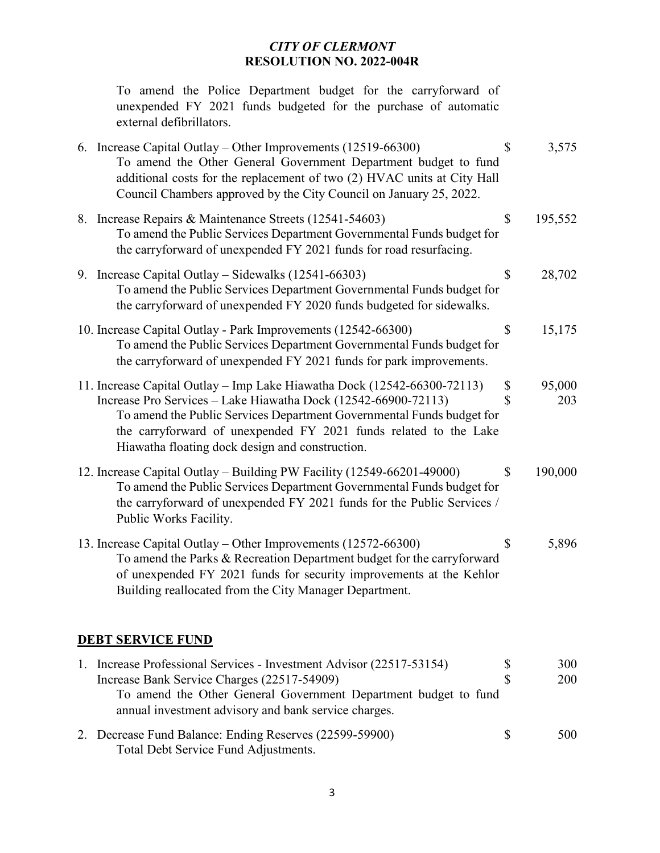To amend the Police Department budget for the carryforward of unexpended FY 2021 funds budgeted for the purchase of automatic external defibrillators.

| 6. Increase Capital Outlay – Other Improvements $(12519-66300)$<br>To amend the Other General Government Department budget to fund<br>additional costs for the replacement of two (2) HVAC units at City Hall<br>Council Chambers approved by the City Council on January 25, 2022.                                                        | $\mathcal{S}$     | 3,575         |
|--------------------------------------------------------------------------------------------------------------------------------------------------------------------------------------------------------------------------------------------------------------------------------------------------------------------------------------------|-------------------|---------------|
| 8. Increase Repairs & Maintenance Streets (12541-54603)<br>To amend the Public Services Department Governmental Funds budget for<br>the carryforward of unexpended FY 2021 funds for road resurfacing.                                                                                                                                     | \$                | 195,552       |
| 9. Increase Capital Outlay – Sidewalks (12541-66303)<br>To amend the Public Services Department Governmental Funds budget for<br>the carryforward of unexpended FY 2020 funds budgeted for sidewalks.                                                                                                                                      | $\mathcal{S}$     | 28,702        |
| 10. Increase Capital Outlay - Park Improvements (12542-66300)<br>To amend the Public Services Department Governmental Funds budget for<br>the carryforward of unexpended FY 2021 funds for park improvements.                                                                                                                              | \$                | 15,175        |
| 11. Increase Capital Outlay - Imp Lake Hiawatha Dock (12542-66300-72113)<br>Increase Pro Services - Lake Hiawatha Dock (12542-66900-72113)<br>To amend the Public Services Department Governmental Funds budget for<br>the carryforward of unexpended FY 2021 funds related to the Lake<br>Hiawatha floating dock design and construction. | \$<br>$\mathbf S$ | 95,000<br>203 |
| 12. Increase Capital Outlay - Building PW Facility (12549-66201-49000)<br>To amend the Public Services Department Governmental Funds budget for<br>the carryforward of unexpended FY 2021 funds for the Public Services /<br>Public Works Facility.                                                                                        | \$                | 190,000       |
| 13. Increase Capital Outlay – Other Improvements (12572-66300)<br>To amend the Parks & Recreation Department budget for the carryforward<br>of unexpended FY 2021 funds for security improvements at the Kehlor<br>Building reallocated from the City Manager Department.                                                                  | \$                | 5,896         |
| <b>DEBT SERVICE FUND</b>                                                                                                                                                                                                                                                                                                                   |                   |               |
| 1. Increase Professional Services - Investment Advisor (22517-53154)<br>Increase Bank Service Charges (22517-54909)<br>To amend the Other General Government Department budget to fund<br>annual investment advisory and bank service charges.                                                                                             | \$<br>$\mathbf S$ | 300<br>200    |
| 2. Decrease Fund Balance: Ending Reserves (22599-59900)                                                                                                                                                                                                                                                                                    | \$                | 500           |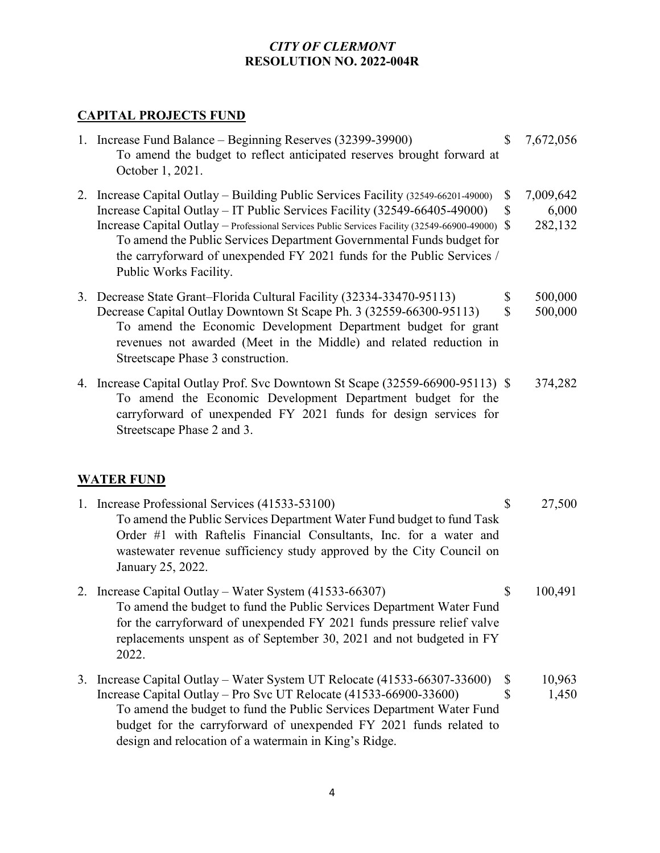# **CAPITAL PROJECTS FUND**

| 1. Increase Fund Balance – Beginning Reserves (32399-39900)<br>To amend the budget to reflect anticipated reserves brought forward at<br>October 1, 2021.                                                                                                                                                                                                                                                                                    | $\mathbb{S}$              | 7,672,056                     |
|----------------------------------------------------------------------------------------------------------------------------------------------------------------------------------------------------------------------------------------------------------------------------------------------------------------------------------------------------------------------------------------------------------------------------------------------|---------------------------|-------------------------------|
| 2. Increase Capital Outlay – Building Public Services Facility (32549-66201-49000)<br>Increase Capital Outlay – IT Public Services Facility (32549-66405-49000)<br>Increase Capital Outlay - Professional Services Public Services Facility (32549-66900-49000)<br>To amend the Public Services Department Governmental Funds budget for<br>the carryforward of unexpended FY 2021 funds for the Public Services /<br>Public Works Facility. | \$<br>\$<br><sup>\$</sup> | 7,009,642<br>6,000<br>282,132 |
| 3. Decrease State Grant–Florida Cultural Facility (32334-33470-95113)<br>Decrease Capital Outlay Downtown St Scape Ph. 3 (32559-66300-95113)<br>To amend the Economic Development Department budget for grant<br>revenues not awarded (Meet in the Middle) and related reduction in<br>Streetscape Phase 3 construction.                                                                                                                     | \$<br>\$                  | 500,000<br>500,000            |
| 4. Increase Capital Outlay Prof. Svc Downtown St Scape (32559-66900-95113) \$<br>To amend the Economic Development Department budget for the<br>carryforward of unexpended FY 2021 funds for design services for<br>Streetscape Phase 2 and 3.                                                                                                                                                                                               |                           | 374,282                       |
| <b>WATER FUND</b>                                                                                                                                                                                                                                                                                                                                                                                                                            |                           |                               |
| 1. Increase Professional Services (41533-53100)<br>To amend the Public Services Department Water Fund budget to fund Task<br>Order #1 with Raftelis Financial Consultants, Inc. for a water and<br>wastewater revenue sufficiency study approved by the City Council on<br>January 25, 2022.                                                                                                                                                 | \$                        | 27,500                        |
| 2. Increase Capital Outlay – Water System (41533-66307)<br>To amend the budget to fund the Public Services Department Water Fund<br>for the carryforward of unexpended FY 2021 funds pressure relief valve<br>replacements unspent as of September 30, 2021 and not budgeted in FY<br>2022.                                                                                                                                                  | \$                        | 100,491                       |
| 3. Increase Capital Outlay – Water System UT Relocate (41533-66307-33600)<br>Increase Capital Outlay – Pro Svc UT Relocate (41533-66900-33600)<br>To amend the budget to fund the Public Services Department Water Fund                                                                                                                                                                                                                      | \$<br>\$                  | 10,963<br>1,450               |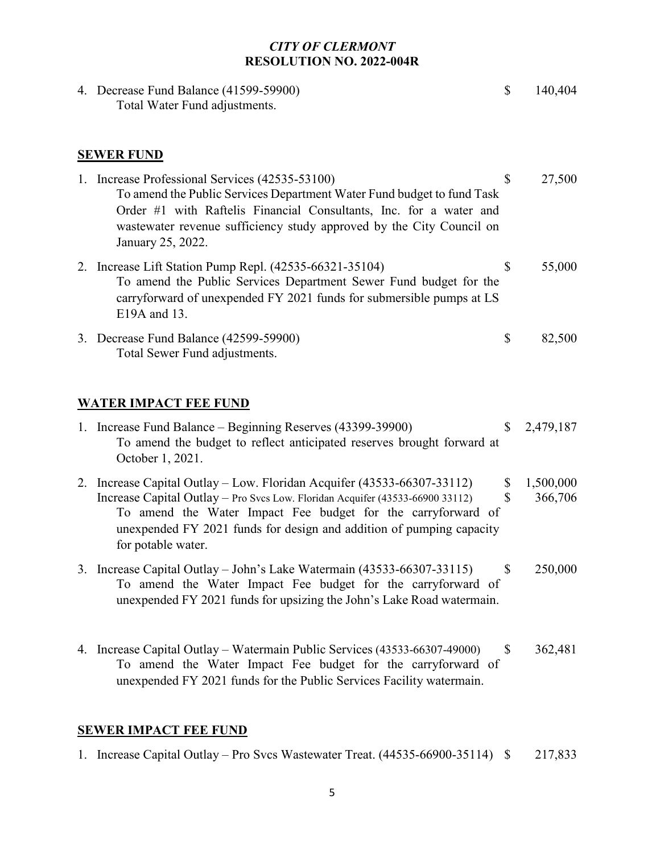| 4. Decrease Fund Balance (41599-59900)<br>Total Water Fund adjustments.                                                                                                                                                                                                                                                | \$                        | 140,404              |
|------------------------------------------------------------------------------------------------------------------------------------------------------------------------------------------------------------------------------------------------------------------------------------------------------------------------|---------------------------|----------------------|
| <b>SEWER FUND</b>                                                                                                                                                                                                                                                                                                      |                           |                      |
| 1. Increase Professional Services (42535-53100)<br>To amend the Public Services Department Water Fund budget to fund Task<br>Order #1 with Raftelis Financial Consultants, Inc. for a water and<br>wastewater revenue sufficiency study approved by the City Council on<br>January 25, 2022.                           | \$                        | 27,500               |
| 2. Increase Lift Station Pump Repl. (42535-66321-35104)<br>To amend the Public Services Department Sewer Fund budget for the<br>carryforward of unexpended FY 2021 funds for submersible pumps at LS<br>E19A and 13.                                                                                                   | \$                        | 55,000               |
| 3. Decrease Fund Balance (42599-59900)<br>Total Sewer Fund adjustments.                                                                                                                                                                                                                                                | \$                        | 82,500               |
| <b>WATER IMPACT FEE FUND</b>                                                                                                                                                                                                                                                                                           |                           |                      |
| 1. Increase Fund Balance - Beginning Reserves (43399-39900)<br>To amend the budget to reflect anticipated reserves brought forward at<br>October 1, 2021.                                                                                                                                                              | $\mathbb{S}$              | 2,479,187            |
| 2. Increase Capital Outlay - Low. Floridan Acquifer (43533-66307-33112)<br>Increase Capital Outlay - Pro Svcs Low. Floridan Acquifer (43533-66900 33112)<br>To amend the Water Impact Fee budget for the carryforward of<br>unexpended FY 2021 funds for design and addition of pumping capacity<br>for potable water. | \$<br>$\mathcal{S}$       | 1,500,000<br>366,706 |
| 3. Increase Capital Outlay – John's Lake Watermain (43533-66307-33115)<br>To amend the Water Impact Fee budget for the carryforward of<br>unexpended FY 2021 funds for upsizing the John's Lake Road watermain.                                                                                                        | $\boldsymbol{\mathsf{S}}$ | 250,000              |
| 4. Increase Capital Outlay – Watermain Public Services (43533-66307-49000)<br>To amend the Water Impact Fee budget for the carryforward of<br>unexpended FY 2021 funds for the Public Services Facility watermain.                                                                                                     | S                         | 362,481              |

# **SEWER IMPACT FEE FUND**

|  | 1. Increase Capital Outlay – Pro Svcs Wastewater Treat. (44535-66900-35114) \$ |  | 217,833 |
|--|--------------------------------------------------------------------------------|--|---------|
|--|--------------------------------------------------------------------------------|--|---------|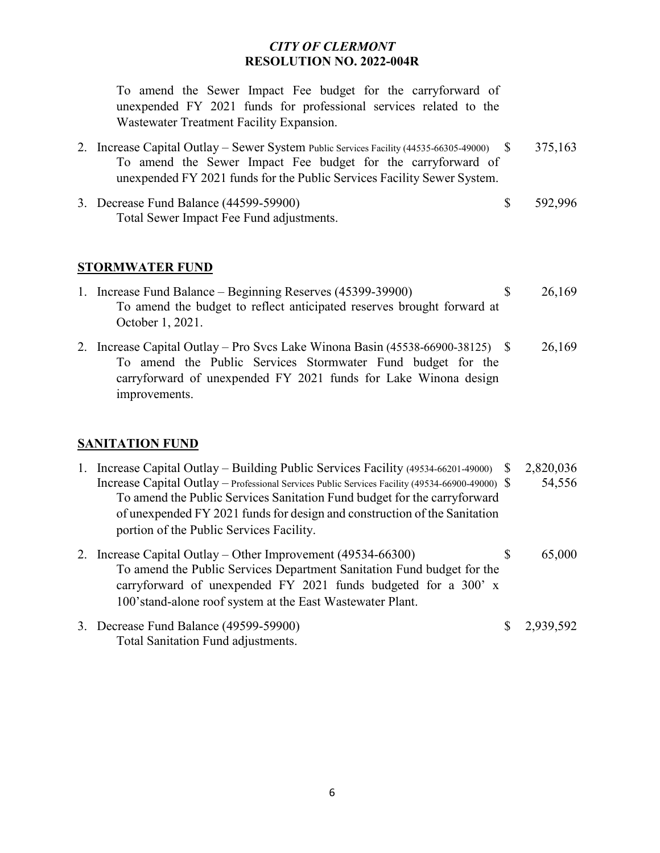To amend the Sewer Impact Fee budget for the carryforward of unexpended FY 2021 funds for professional services related to the Wastewater Treatment Facility Expansion.

- 2. Increase Capital Outlay Sewer System Public Services Facility (44535-66305-49000) \$ 375,163 To amend the Sewer Impact Fee budget for the carryforward of unexpended FY 2021 funds for the Public Services Facility Sewer System.
- 3. Decrease Fund Balance (44599-59900) \$ 592,996 Total Sewer Impact Fee Fund adjustments.

#### **STORMWATER FUND**

- 1. Increase Fund Balance Beginning Reserves (45399-39900) \$ 26,169 To amend the budget to reflect anticipated reserves brought forward at October 1, 2021.
- 2. Increase Capital Outlay Pro Svcs Lake Winona Basin (45538-66900-38125) \$ 26,169 To amend the Public Services Stormwater Fund budget for the carryforward of unexpended FY 2021 funds for Lake Winona design improvements.

### **SANITATION FUND**

- 1. Increase Capital Outlay Building Public Services Facility (49534-66201-49000) \$ 2,820,036 Increase Capital Outlay – Professional Services Public Services Facility (49534-66900-49000) \$ 54,556 To amend the Public Services Sanitation Fund budget for the carryforward of unexpended FY 2021 funds for design and construction of the Sanitation portion of the Public Services Facility. 2. Increase Capital Outlay – Other Improvement (49534-66300) \$ 65,000 To amend the Public Services Department Sanitation Fund budget for the carryforward of unexpended FY 2021 funds budgeted for a 300' x 100'stand-alone roof system at the East Wastewater Plant. 3. Decrease Fund Balance (49599-59900) \$ 2,939,592
- Total Sanitation Fund adjustments.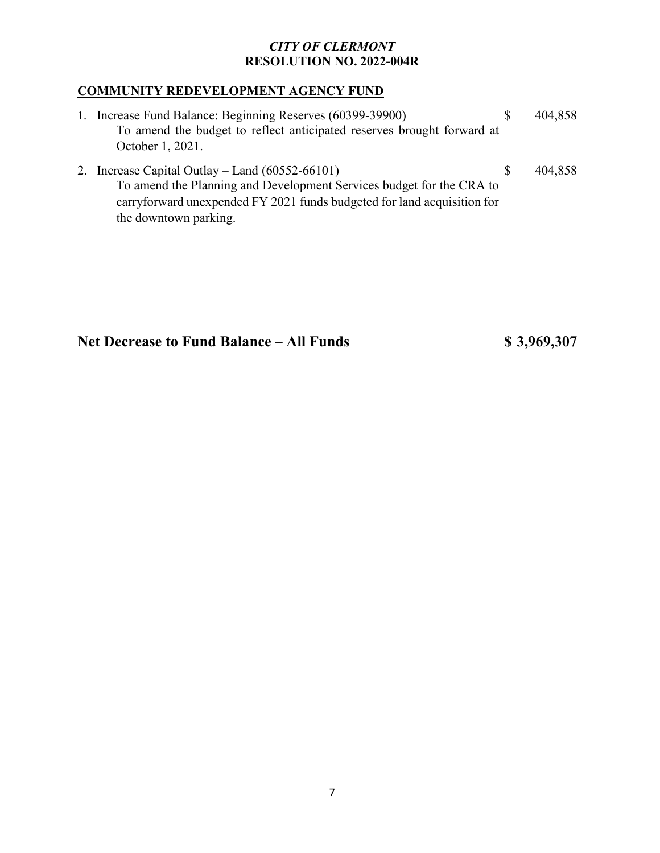## **COMMUNITY REDEVELOPMENT AGENCY FUND**

| 1. Increase Fund Balance: Beginning Reserves (60399-39900)<br>To amend the budget to reflect anticipated reserves brought forward at<br>October 1, 2021.                                             | S. | 404,858 |
|------------------------------------------------------------------------------------------------------------------------------------------------------------------------------------------------------|----|---------|
| 2. Increase Capital Outlay – Land $(60552-66101)$<br>To amend the Planning and Development Services budget for the CRA to<br>carryforward unexpended FY 2021 funds budgeted for land acquisition for | -S | 404,858 |

the downtown parking.

# **Net Decrease to Fund Balance – All Funds \$ 3,969,307**